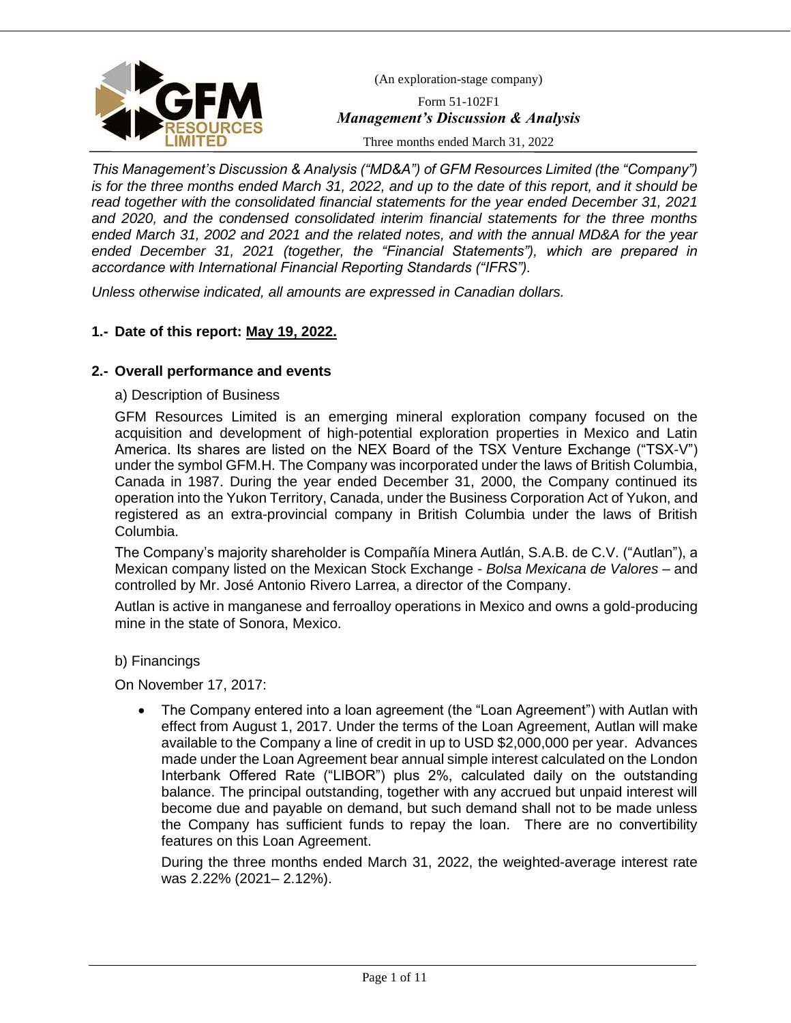

Form 51-102F1 *Management's Discussion & Analysis*

Three months ended March 31, 2022

*This Management's Discussion & Analysis ("MD&A") of GFM Resources Limited (the "Company") is for the three months ended March 31, 2022, and up to the date of this report, and it should be read together with the consolidated financial statements for the year ended December 31, 2021 and 2020, and the condensed consolidated interim financial statements for the three months ended March 31, 2002 and 2021 and the related notes, and with the annual MD&A for the year ended December 31, 2021 (together, the "Financial Statements"), which are prepared in accordance with International Financial Reporting Standards ("IFRS").*

*Unless otherwise indicated, all amounts are expressed in Canadian dollars.*

# **1.- Date of this report: May 19, 2022.**

# **2.- Overall performance and events**

a) Description of Business

GFM Resources Limited is an emerging mineral exploration company focused on the acquisition and development of high-potential exploration properties in Mexico and Latin America. Its shares are listed on the NEX Board of the TSX Venture Exchange ("TSX-V") under the symbol GFM.H. The Company was incorporated under the laws of British Columbia, Canada in 1987. During the year ended December 31, 2000, the Company continued its operation into the Yukon Territory, Canada, under the Business Corporation Act of Yukon, and registered as an extra-provincial company in British Columbia under the laws of British Columbia.

The Company's majority shareholder is Compañía Minera Autlán, S.A.B. de C.V. ("Autlan"), a Mexican company listed on the Mexican Stock Exchange - *Bolsa Mexicana de Valores* – and controlled by Mr. José Antonio Rivero Larrea, a director of the Company.

Autlan is active in manganese and ferroalloy operations in Mexico and owns a gold-producing mine in the state of Sonora, Mexico.

### b) Financings

On November 17, 2017:

• The Company entered into a loan agreement (the "Loan Agreement") with Autlan with effect from August 1, 2017. Under the terms of the Loan Agreement, Autlan will make available to the Company a line of credit in up to USD \$2,000,000 per year. Advances made under the Loan Agreement bear annual simple interest calculated on the London Interbank Offered Rate ("LIBOR") plus 2%, calculated daily on the outstanding balance. The principal outstanding, together with any accrued but unpaid interest will become due and payable on demand, but such demand shall not to be made unless the Company has sufficient funds to repay the loan. There are no convertibility features on this Loan Agreement.

During the three months ended March 31, 2022, the weighted-average interest rate was 2.22% (2021– 2.12%).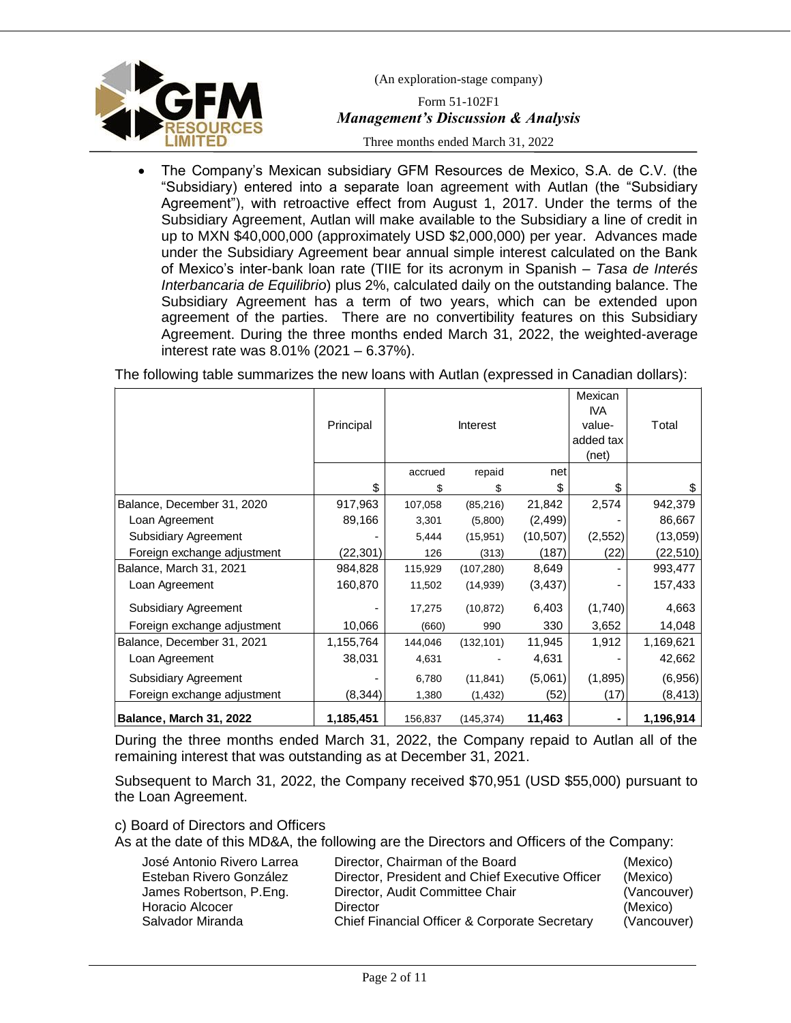

(An exploration-stage company) Form 51-102F1

# *Management's Discussion & Analysis*

Three months ended March 31, 2022

• The Company's Mexican subsidiary GFM Resources de Mexico, S.A. de C.V. (the "Subsidiary) entered into a separate loan agreement with Autlan (the "Subsidiary Agreement"), with retroactive effect from August 1, 2017. Under the terms of the Subsidiary Agreement, Autlan will make available to the Subsidiary a line of credit in up to MXN \$40,000,000 (approximately USD \$2,000,000) per year. Advances made under the Subsidiary Agreement bear annual simple interest calculated on the Bank of Mexico's inter-bank loan rate (TIIE for its acronym in Spanish – *Tasa de Interés Interbancaria de Equilibrio*) plus 2%, calculated daily on the outstanding balance. The Subsidiary Agreement has a term of two years, which can be extended upon agreement of the parties. There are no convertibility features on this Subsidiary Agreement. During the three months ended March 31, 2022, the weighted-average interest rate was 8.01% (2021 – 6.37%).

The following table summarizes the new loans with Autlan (expressed in Canadian dollars):

|                             | Principal |         | Interest   |           | Mexican<br><b>IVA</b><br>value-<br>added tax<br>(net) | Total     |
|-----------------------------|-----------|---------|------------|-----------|-------------------------------------------------------|-----------|
|                             |           | accrued | repaid     | net       |                                                       |           |
|                             | \$        | \$      | \$         | \$.       | \$                                                    | \$        |
| Balance, December 31, 2020  | 917,963   | 107,058 | (85, 216)  | 21,842    | 2,574                                                 | 942,379   |
| Loan Agreement              | 89,166    | 3,301   | (5,800)    | (2, 499)  |                                                       | 86,667    |
| Subsidiary Agreement        |           | 5,444   | (15,951)   | (10, 507) | (2, 552)                                              | (13,059)  |
| Foreign exchange adjustment | (22, 301) | 126     | (313)      | (187)     | (22)                                                  | (22, 510) |
| Balance, March 31, 2021     | 984,828   | 115,929 | (107, 280) | 8,649     |                                                       | 993,477   |
| Loan Agreement              | 160,870   | 11,502  | (14, 939)  | (3, 437)  |                                                       | 157,433   |
| Subsidiary Agreement        |           | 17,275  | (10, 872)  | 6,403     | (1,740)                                               | 4,663     |
| Foreign exchange adjustment | 10,066    | (660)   | 990        | 330       | 3,652                                                 | 14,048    |
| Balance, December 31, 2021  | 1,155,764 | 144,046 | (132, 101) | 11,945    | 1,912                                                 | 1,169,621 |
| Loan Agreement              | 38,031    | 4,631   |            | 4,631     |                                                       | 42,662    |
| Subsidiary Agreement        |           | 6,780   | (11, 841)  | (5,061)   | (1,895)                                               | (6,956)   |
| Foreign exchange adjustment | (8, 344)  | 1,380   | (1, 432)   | (52)      | (17)                                                  | (8, 413)  |
| Balance, March 31, 2022     | 1,185,451 | 156,837 | (145,374)  | 11,463    | ۰                                                     | 1,196,914 |

During the three months ended March 31, 2022, the Company repaid to Autlan all of the remaining interest that was outstanding as at December 31, 2021.

Subsequent to March 31, 2022, the Company received \$70,951 (USD \$55,000) pursuant to the Loan Agreement.

c) Board of Directors and Officers

As at the date of this MD&A, the following are the Directors and Officers of the Company:

| José Antonio Rivero Larrea | Director, Chairman of the Board                 | (Mexico)    |
|----------------------------|-------------------------------------------------|-------------|
| Esteban Rivero González    | Director, President and Chief Executive Officer | (Mexico)    |
| James Robertson, P.Eng.    | Director, Audit Committee Chair                 | (Vancouver) |
| Horacio Alcocer            | Director                                        | (Mexico)    |
| Salvador Miranda           | Chief Financial Officer & Corporate Secretary   | (Vancouver) |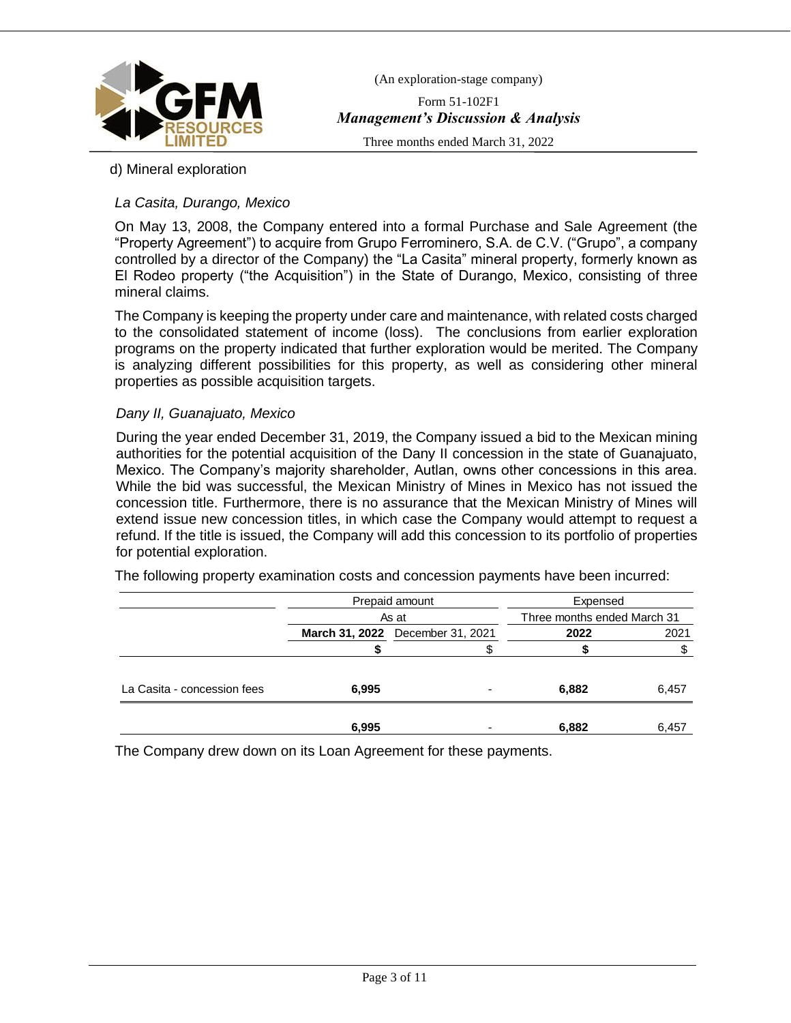

Form 51-102F1 *Management's Discussion & Analysis*

Three months ended March 31, 2022

# d) Mineral exploration

# *La Casita, Durango, Mexico*

On May 13, 2008, the Company entered into a formal Purchase and Sale Agreement (the "Property Agreement") to acquire from Grupo Ferrominero, S.A. de C.V. ("Grupo", a company controlled by a director of the Company) the "La Casita" mineral property, formerly known as El Rodeo property ("the Acquisition") in the State of Durango, Mexico, consisting of three mineral claims.

The Company is keeping the property under care and maintenance, with related costs charged to the consolidated statement of income (loss). The conclusions from earlier exploration programs on the property indicated that further exploration would be merited. The Company is analyzing different possibilities for this property, as well as considering other mineral properties as possible acquisition targets.

### *Dany II, Guanajuato, Mexico*

During the year ended December 31, 2019, the Company issued a bid to the Mexican mining authorities for the potential acquisition of the Dany II concession in the state of Guanajuato, Mexico. The Company's majority shareholder, Autlan, owns other concessions in this area. While the bid was successful, the Mexican Ministry of Mines in Mexico has not issued the concession title. Furthermore, there is no assurance that the Mexican Ministry of Mines will extend issue new concession titles, in which case the Company would attempt to request a refund. If the title is issued, the Company will add this concession to its portfolio of properties for potential exploration.

The following property examination costs and concession payments have been incurred:

|                             |                                  | Prepaid amount           | Expensed                    |       |  |
|-----------------------------|----------------------------------|--------------------------|-----------------------------|-------|--|
|                             | As at                            |                          | Three months ended March 31 |       |  |
|                             | March 31, 2022 December 31, 2021 |                          | 2022                        | 2021  |  |
|                             |                                  |                          |                             |       |  |
|                             |                                  |                          |                             |       |  |
| La Casita - concession fees | 6,995                            | $\overline{\phantom{0}}$ | 6,882                       | 6,457 |  |
|                             |                                  |                          |                             |       |  |
|                             | 6,995                            |                          | 6,882                       | 6,457 |  |

The Company drew down on its Loan Agreement for these payments.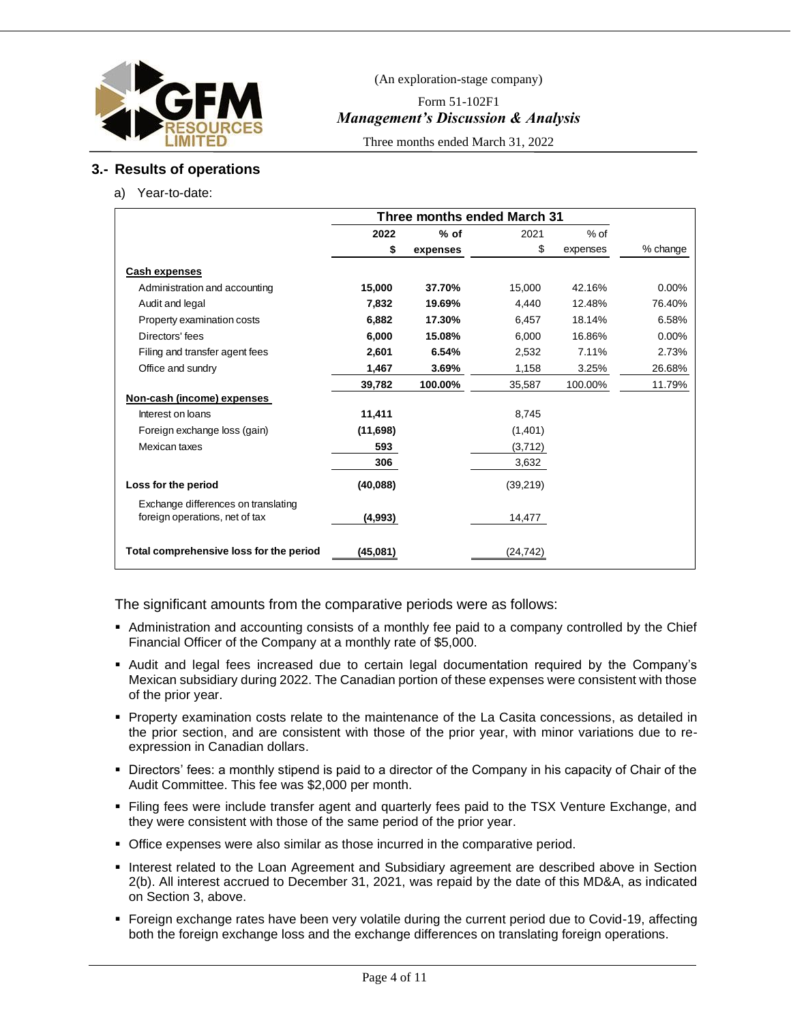

Form 51-102F1 *Management's Discussion & Analysis*

Three months ended March 31, 2022

# **3.- Results of operations**

a) Year-to-date:

|                                                                       | Three months ended March 31 |          |          |          |          |
|-----------------------------------------------------------------------|-----------------------------|----------|----------|----------|----------|
|                                                                       | 2022                        | $%$ of   | 2021     | $%$ of   |          |
|                                                                       | \$                          | expenses | \$       | expenses | % change |
| <b>Cash expenses</b>                                                  |                             |          |          |          |          |
| Administration and accounting                                         | 15,000                      | 37.70%   | 15.000   | 42.16%   | $0.00\%$ |
| Audit and legal                                                       | 7,832                       | 19.69%   | 4.440    | 12.48%   | 76.40%   |
| Property examination costs                                            | 6,882                       | 17.30%   | 6,457    | 18.14%   | 6.58%    |
| Directors' fees                                                       | 6.000                       | 15.08%   | 6.000    | 16.86%   | 0.00%    |
| Filing and transfer agent fees                                        | 2,601                       | 6.54%    | 2,532    | 7.11%    | 2.73%    |
| Office and sundry                                                     | 1,467                       | 3.69%    | 1,158    | 3.25%    | 26.68%   |
|                                                                       | 39,782                      | 100.00%  | 35,587   | 100.00%  | 11.79%   |
| Non-cash (income) expenses                                            |                             |          |          |          |          |
| Interest on loans                                                     | 11,411                      |          | 8,745    |          |          |
| Foreign exchange loss (gain)                                          | (11,698)                    |          | (1,401)  |          |          |
| Mexican taxes                                                         | 593                         |          | (3,712)  |          |          |
|                                                                       | 306                         |          | 3,632    |          |          |
| Loss for the period                                                   | (40,088)                    |          | (39,219) |          |          |
| Exchange differences on translating<br>foreign operations, net of tax | (4,993)                     |          | 14,477   |          |          |
| Total comprehensive loss for the period                               | (45,081)                    |          | (24,742) |          |          |

The significant amounts from the comparative periods were as follows:

- Administration and accounting consists of a monthly fee paid to a company controlled by the Chief Financial Officer of the Company at a monthly rate of \$5,000.
- Audit and legal fees increased due to certain legal documentation required by the Company's Mexican subsidiary during 2022. The Canadian portion of these expenses were consistent with those of the prior year.
- Property examination costs relate to the maintenance of the La Casita concessions, as detailed in the prior section, and are consistent with those of the prior year, with minor variations due to reexpression in Canadian dollars.
- Directors' fees: a monthly stipend is paid to a director of the Company in his capacity of Chair of the Audit Committee. This fee was \$2,000 per month.
- Filing fees were include transfer agent and quarterly fees paid to the TSX Venture Exchange, and they were consistent with those of the same period of the prior year.
- **Office expenses were also similar as those incurred in the comparative period.**
- **.** Interest related to the Loan Agreement and Subsidiary agreement are described above in Section 2(b). All interest accrued to December 31, 2021, was repaid by the date of this MD&A, as indicated on Section 3, above.
- Foreign exchange rates have been very volatile during the current period due to Covid-19, affecting both the foreign exchange loss and the exchange differences on translating foreign operations.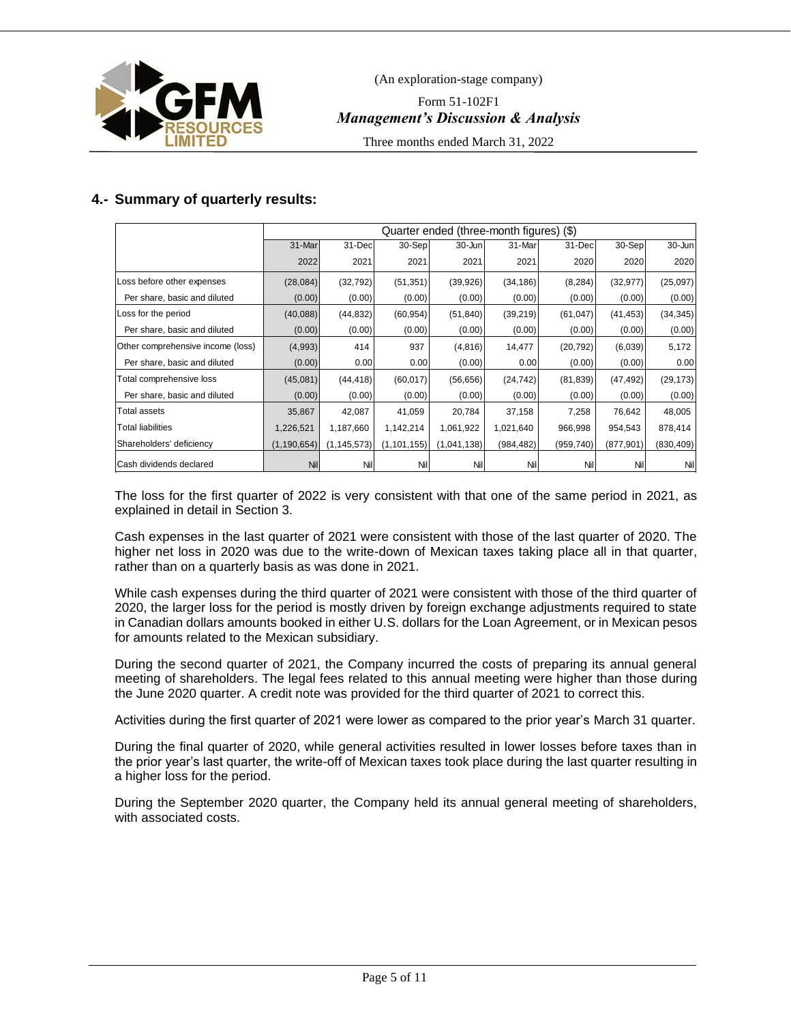

Form 51-102F1 *Management's Discussion & Analysis*

Three months ended March 31, 2022

# **4.- Summary of quarterly results:**

|                                   | Quarter ended (three-month figures) (\$) |               |               |             |            |            |            |            |
|-----------------------------------|------------------------------------------|---------------|---------------|-------------|------------|------------|------------|------------|
|                                   | 31-Mar                                   | 31-Dec        | 30-Sep        | 30-Jun      | 31-Mar     | 31-Dec     | 30-Sep     | $30 - Jun$ |
|                                   | 2022                                     | 2021          | 2021          | 2021        | 2021       | 2020       | 2020       | 2020       |
| Loss before other expenses        | (28, 084)                                | (32, 792)     | (51, 351)     | (39, 926)   | (34, 186)  | (8, 284)   | (32, 977)  | (25,097)   |
| Per share, basic and diluted      | (0.00)                                   | (0.00)        | (0.00)        | (0.00)      | (0.00)     | (0.00)     | (0.00)     | (0.00)     |
| Loss for the period               | (40,088)                                 | (44, 832)     | (60, 954)     | (51, 840)   | (39, 219)  | (61, 047)  | (41, 453)  | (34, 345)  |
| Per share, basic and diluted      | (0.00)                                   | (0.00)        | (0.00)        | (0.00)      | (0.00)     | (0.00)     | (0.00)     | (0.00)     |
| Other comprehensive income (loss) | (4,993)                                  | 414           | 937           | (4, 816)    | 14,477     | (20, 792)  | (6,039)    | 5,172      |
| Per share, basic and diluted      | (0.00)                                   | 0.00          | 0.00          | (0.00)      | 0.00       | (0.00)     | (0.00)     | 0.00       |
| Total comprehensive loss          | (45,081)                                 | (44, 418)     | (60, 017)     | (56, 656)   | (24, 742)  | (81, 839)  | (47, 492)  | (29, 173)  |
| Per share, basic and diluted      | (0.00)                                   | (0.00)        | (0.00)        | (0.00)      | (0.00)     | (0.00)     | (0.00)     | (0.00)     |
| Total assets                      | 35,867                                   | 42,087        | 41,059        | 20,784      | 37,158     | 7,258      | 76,642     | 48,005     |
| Total liabilities                 | 1,226,521                                | 1,187,660     | 1,142,214     | 1,061,922   | 1,021,640  | 966,998    | 954,543    | 878,414    |
| Shareholders' deficiency          | (1, 190, 654)                            | (1, 145, 573) | (1, 101, 155) | (1,041,138) | (984, 482) | (959, 740) | (877, 901) | (830, 409) |
| <b>Cash dividends declared</b>    | Nil                                      | Nil           | Nil           | Nil         | Nil        | Nil        | Nil        | Nil        |

The loss for the first quarter of 2022 is very consistent with that one of the same period in 2021, as explained in detail in Section 3.

Cash expenses in the last quarter of 2021 were consistent with those of the last quarter of 2020. The higher net loss in 2020 was due to the write-down of Mexican taxes taking place all in that quarter, rather than on a quarterly basis as was done in 2021.

While cash expenses during the third quarter of 2021 were consistent with those of the third quarter of 2020, the larger loss for the period is mostly driven by foreign exchange adjustments required to state in Canadian dollars amounts booked in either U.S. dollars for the Loan Agreement, or in Mexican pesos for amounts related to the Mexican subsidiary.

During the second quarter of 2021, the Company incurred the costs of preparing its annual general meeting of shareholders. The legal fees related to this annual meeting were higher than those during the June 2020 quarter. A credit note was provided for the third quarter of 2021 to correct this.

Activities during the first quarter of 2021 were lower as compared to the prior year's March 31 quarter.

During the final quarter of 2020, while general activities resulted in lower losses before taxes than in the prior year's last quarter, the write-off of Mexican taxes took place during the last quarter resulting in a higher loss for the period.

During the September 2020 quarter, the Company held its annual general meeting of shareholders, with associated costs.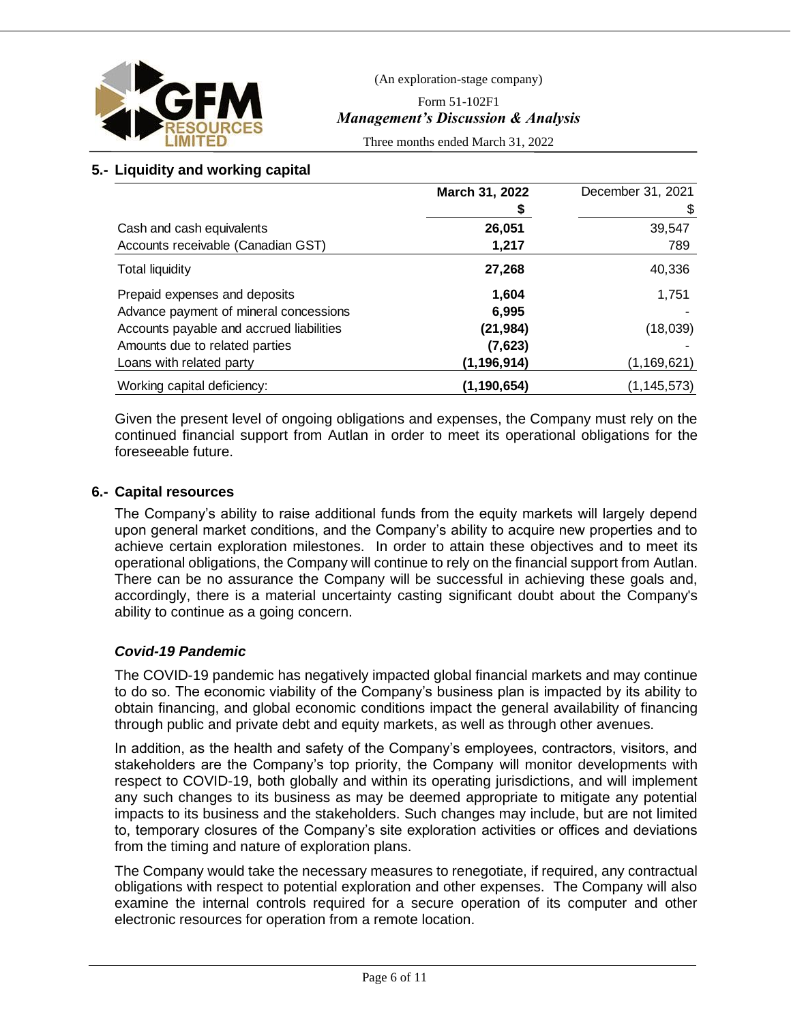

Form 51-102F1 *Management's Discussion & Analysis*

Three months ended March 31, 2022

# **5.- Liquidity and working capital**

|                                          | March 31, 2022 | December 31, 2021 |
|------------------------------------------|----------------|-------------------|
|                                          | \$             |                   |
| Cash and cash equivalents                | 26,051         | 39,547            |
| Accounts receivable (Canadian GST)       | 1,217          | 789               |
| <b>Total liquidity</b>                   | 27,268         | 40,336            |
| Prepaid expenses and deposits            | 1,604          | 1,751             |
| Advance payment of mineral concessions   | 6,995          |                   |
| Accounts payable and accrued liabilities | (21, 984)      | (18,039)          |
| Amounts due to related parties           | (7,623)        |                   |
| Loans with related party                 | (1, 196, 914)  | (1, 169, 621)     |
| Working capital deficiency:              | (1, 190, 654)  | (1,145,573)       |

Given the present level of ongoing obligations and expenses, the Company must rely on the continued financial support from Autlan in order to meet its operational obligations for the foreseeable future.

# **6.- Capital resources**

The Company's ability to raise additional funds from the equity markets will largely depend upon general market conditions, and the Company's ability to acquire new properties and to achieve certain exploration milestones. In order to attain these objectives and to meet its operational obligations, the Company will continue to rely on the financial support from Autlan. There can be no assurance the Company will be successful in achieving these goals and, accordingly, there is a material uncertainty casting significant doubt about the Company's ability to continue as a going concern.

# *Covid-19 Pandemic*

The COVID-19 pandemic has negatively impacted global financial markets and may continue to do so. The economic viability of the Company's business plan is impacted by its ability to obtain financing, and global economic conditions impact the general availability of financing through public and private debt and equity markets, as well as through other avenues.

In addition, as the health and safety of the Company's employees, contractors, visitors, and stakeholders are the Company's top priority, the Company will monitor developments with respect to COVID-19, both globally and within its operating jurisdictions, and will implement any such changes to its business as may be deemed appropriate to mitigate any potential impacts to its business and the stakeholders. Such changes may include, but are not limited to, temporary closures of the Company's site exploration activities or offices and deviations from the timing and nature of exploration plans.

The Company would take the necessary measures to renegotiate, if required, any contractual obligations with respect to potential exploration and other expenses. The Company will also examine the internal controls required for a secure operation of its computer and other electronic resources for operation from a remote location.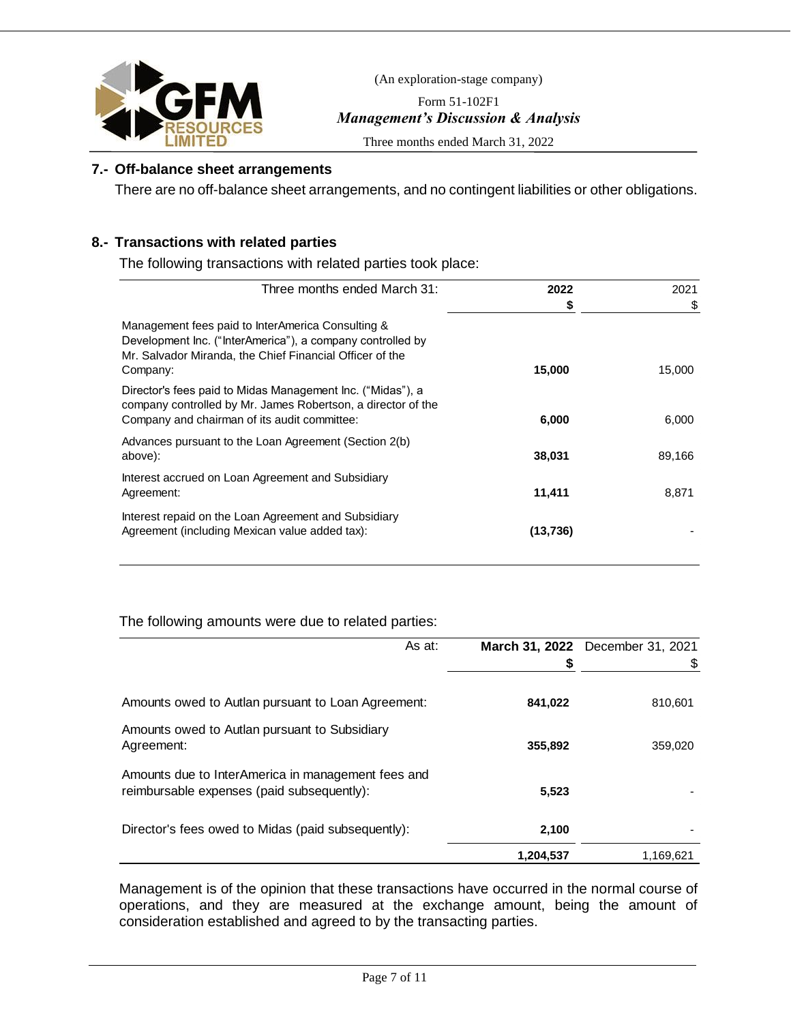

Form 51-102F1 *Management's Discussion & Analysis*

Three months ended March 31, 2022

# **7.- Off-balance sheet arrangements**

There are no off-balance sheet arrangements, and no contingent liabilities or other obligations.

# **8.- Transactions with related parties**

The following transactions with related parties took place:

| Three months ended March 31:                                                                                                                                                            | 2022     | 2021   |
|-----------------------------------------------------------------------------------------------------------------------------------------------------------------------------------------|----------|--------|
|                                                                                                                                                                                         | \$       | \$     |
| Management fees paid to InterAmerica Consulting &<br>Development Inc. ("InterAmerica"), a company controlled by<br>Mr. Salvador Miranda, the Chief Financial Officer of the<br>Company: | 15,000   | 15.000 |
| Director's fees paid to Midas Management Inc. ("Midas"), a<br>company controlled by Mr. James Robertson, a director of the<br>Company and chairman of its audit committee:              | 6,000    | 6.000  |
| Advances pursuant to the Loan Agreement (Section 2(b)<br>above):                                                                                                                        | 38,031   | 89,166 |
| Interest accrued on Loan Agreement and Subsidiary<br>Agreement:                                                                                                                         | 11,411   | 8,871  |
| Interest repaid on the Loan Agreement and Subsidiary<br>Agreement (including Mexican value added tax):                                                                                  | (13,736) |        |

# The following amounts were due to related parties:

| As at:                                                                                           | \$        | March 31, 2022 December 31, 2021 |
|--------------------------------------------------------------------------------------------------|-----------|----------------------------------|
| Amounts owed to Autlan pursuant to Loan Agreement:                                               | 841,022   | 810,601                          |
| Amounts owed to Autlan pursuant to Subsidiary<br>Agreement:                                      | 355,892   | 359.020                          |
| Amounts due to InterAmerica in management fees and<br>reimbursable expenses (paid subsequently): | 5,523     |                                  |
| Director's fees owed to Midas (paid subsequently):                                               | 2,100     |                                  |
|                                                                                                  | 1,204,537 | 1,169,621                        |

Management is of the opinion that these transactions have occurred in the normal course of operations, and they are measured at the exchange amount, being the amount of consideration established and agreed to by the transacting parties.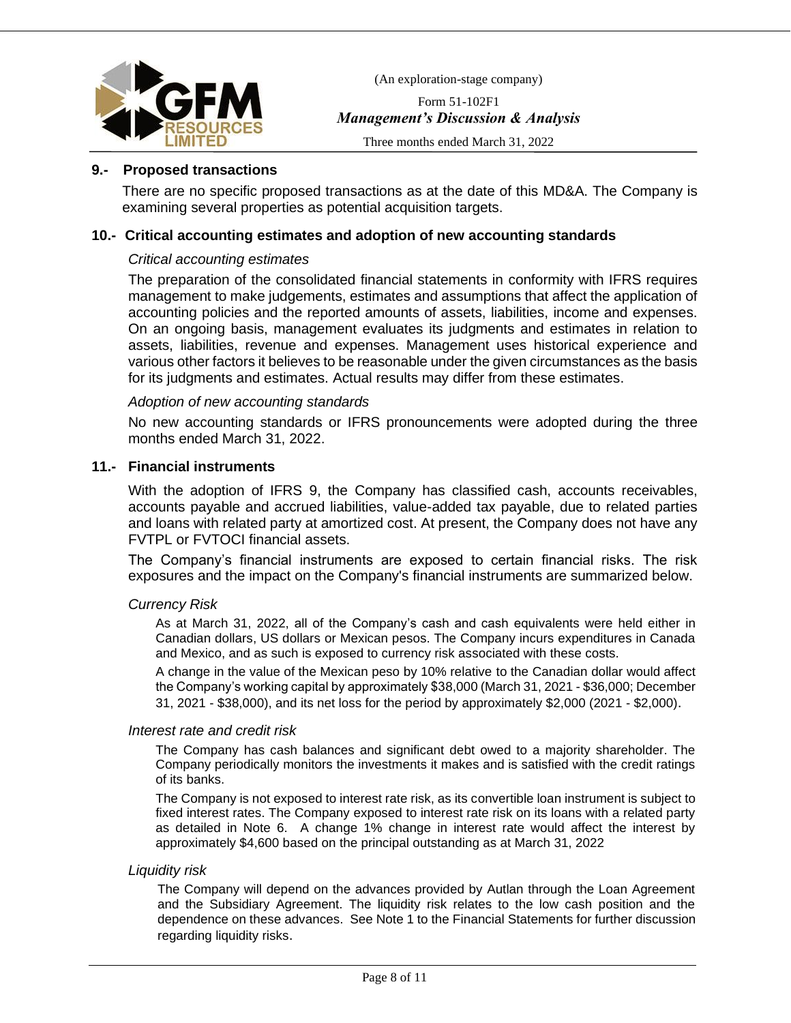

Form 51-102F1 *Management's Discussion & Analysis*

Three months ended March 31, 2022

### **9.- Proposed transactions**

There are no specific proposed transactions as at the date of this MD&A. The Company is examining several properties as potential acquisition targets.

### **10.- Critical accounting estimates and adoption of new accounting standards**

### *Critical accounting estimates*

The preparation of the consolidated financial statements in conformity with IFRS requires management to make judgements, estimates and assumptions that affect the application of accounting policies and the reported amounts of assets, liabilities, income and expenses. On an ongoing basis, management evaluates its judgments and estimates in relation to assets, liabilities, revenue and expenses. Management uses historical experience and various other factors it believes to be reasonable under the given circumstances as the basis for its judgments and estimates. Actual results may differ from these estimates.

#### *Adoption of new accounting standards*

No new accounting standards or IFRS pronouncements were adopted during the three months ended March 31, 2022.

# **11.- Financial instruments**

With the adoption of IFRS 9, the Company has classified cash, accounts receivables, accounts payable and accrued liabilities, value-added tax payable, due to related parties and loans with related party at amortized cost. At present, the Company does not have any FVTPL or FVTOCI financial assets.

The Company's financial instruments are exposed to certain financial risks. The risk exposures and the impact on the Company's financial instruments are summarized below.

### *Currency Risk*

As at March 31, 2022, all of the Company's cash and cash equivalents were held either in Canadian dollars, US dollars or Mexican pesos. The Company incurs expenditures in Canada and Mexico, and as such is exposed to currency risk associated with these costs.

A change in the value of the Mexican peso by 10% relative to the Canadian dollar would affect the Company's working capital by approximately \$38,000 (March 31, 2021 - \$36,000; December 31, 2021 - \$38,000), and its net loss for the period by approximately \$2,000 (2021 - \$2,000).

#### *Interest rate and credit risk*

The Company has cash balances and significant debt owed to a majority shareholder. The Company periodically monitors the investments it makes and is satisfied with the credit ratings of its banks.

The Company is not exposed to interest rate risk, as its convertible loan instrument is subject to fixed interest rates. The Company exposed to interest rate risk on its loans with a related party as detailed in Note 6. A change 1% change in interest rate would affect the interest by approximately \$4,600 based on the principal outstanding as at March 31, 2022

#### *Liquidity risk*

The Company will depend on the advances provided by Autlan through the Loan Agreement and the Subsidiary Agreement. The liquidity risk relates to the low cash position and the dependence on these advances. See Note 1 to the Financial Statements for further discussion regarding liquidity risks.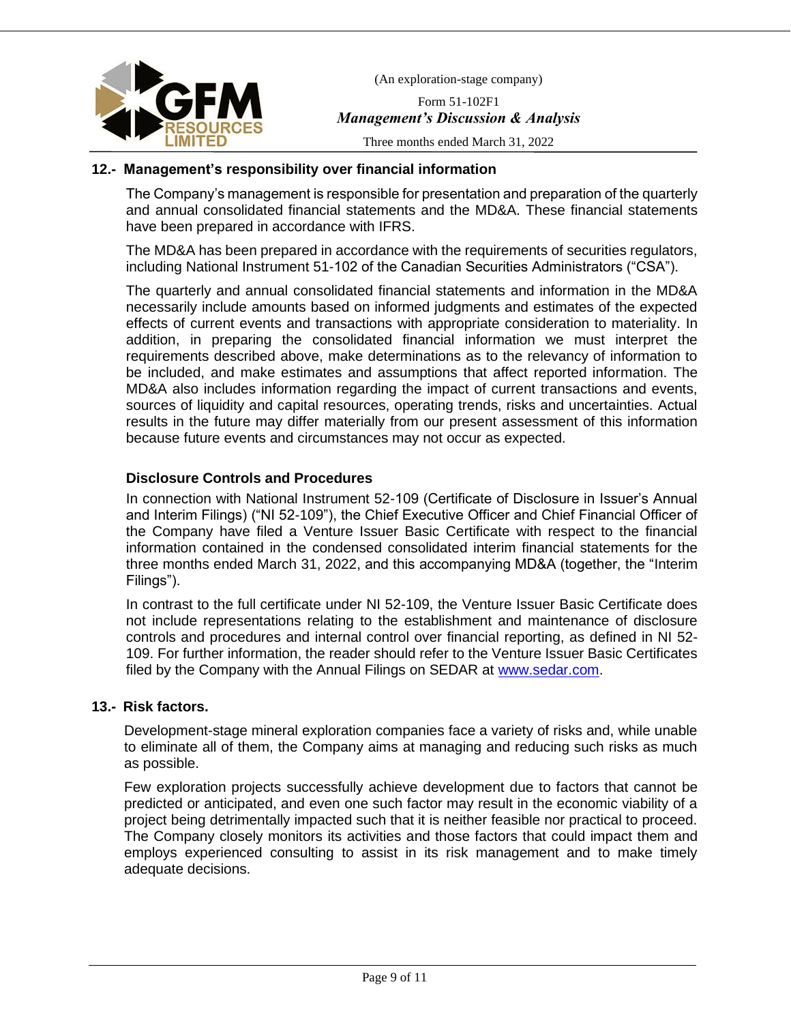

Form 51-102F1 *Management's Discussion & Analysis*

Three months ended March 31, 2022

# **12.- Management's responsibility over financial information**

The Company's management is responsible for presentation and preparation of the quarterly and annual consolidated financial statements and the MD&A. These financial statements have been prepared in accordance with IFRS.

The MD&A has been prepared in accordance with the requirements of securities regulators, including National Instrument 51-102 of the Canadian Securities Administrators ("CSA").

The quarterly and annual consolidated financial statements and information in the MD&A necessarily include amounts based on informed judgments and estimates of the expected effects of current events and transactions with appropriate consideration to materiality. In addition, in preparing the consolidated financial information we must interpret the requirements described above, make determinations as to the relevancy of information to be included, and make estimates and assumptions that affect reported information. The MD&A also includes information regarding the impact of current transactions and events, sources of liquidity and capital resources, operating trends, risks and uncertainties. Actual results in the future may differ materially from our present assessment of this information because future events and circumstances may not occur as expected.

# **Disclosure Controls and Procedures**

In connection with National Instrument 52-109 (Certificate of Disclosure in Issuer's Annual and Interim Filings) ("NI 52-109"), the Chief Executive Officer and Chief Financial Officer of the Company have filed a Venture Issuer Basic Certificate with respect to the financial information contained in the condensed consolidated interim financial statements for the three months ended March 31, 2022, and this accompanying MD&A (together, the "Interim Filings").

In contrast to the full certificate under NI 52-109, the Venture Issuer Basic Certificate does not include representations relating to the establishment and maintenance of disclosure controls and procedures and internal control over financial reporting, as defined in NI 52- 109. For further information, the reader should refer to the Venture Issuer Basic Certificates filed by the Company with the Annual Filings on SEDAR at [www.sedar.com.](http://www.sedar.com/)

### **13.- Risk factors.**

Development-stage mineral exploration companies face a variety of risks and, while unable to eliminate all of them, the Company aims at managing and reducing such risks as much as possible.

Few exploration projects successfully achieve development due to factors that cannot be predicted or anticipated, and even one such factor may result in the economic viability of a project being detrimentally impacted such that it is neither feasible nor practical to proceed. The Company closely monitors its activities and those factors that could impact them and employs experienced consulting to assist in its risk management and to make timely adequate decisions.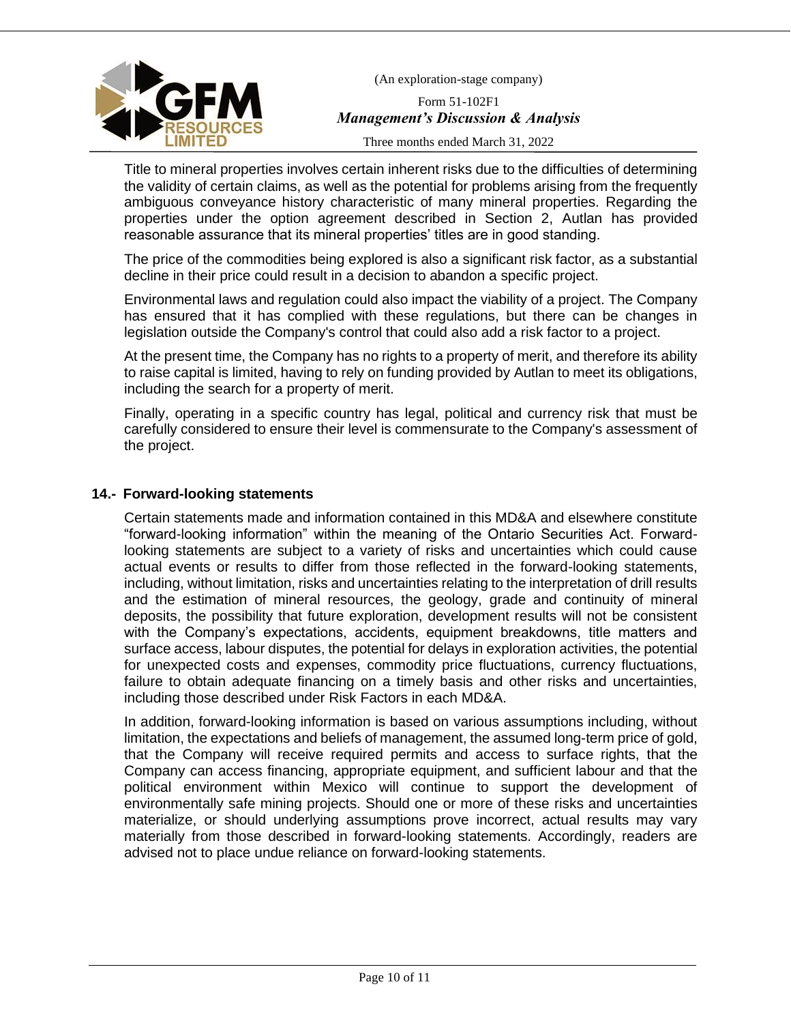

Form 51-102F1 *Management's Discussion & Analysis*

Three months ended March 31, 2022

Title to mineral properties involves certain inherent risks due to the difficulties of determining the validity of certain claims, as well as the potential for problems arising from the frequently ambiguous conveyance history characteristic of many mineral properties. Regarding the properties under the option agreement described in Section 2, Autlan has provided reasonable assurance that its mineral properties' titles are in good standing.

The price of the commodities being explored is also a significant risk factor, as a substantial decline in their price could result in a decision to abandon a specific project.

Environmental laws and regulation could also impact the viability of a project. The Company has ensured that it has complied with these regulations, but there can be changes in legislation outside the Company's control that could also add a risk factor to a project.

At the present time, the Company has no rights to a property of merit, and therefore its ability to raise capital is limited, having to rely on funding provided by Autlan to meet its obligations, including the search for a property of merit.

Finally, operating in a specific country has legal, political and currency risk that must be carefully considered to ensure their level is commensurate to the Company's assessment of the project.

# **14.- Forward-looking statements**

Certain statements made and information contained in this MD&A and elsewhere constitute "forward-looking information" within the meaning of the Ontario Securities Act. Forwardlooking statements are subject to a variety of risks and uncertainties which could cause actual events or results to differ from those reflected in the forward-looking statements, including, without limitation, risks and uncertainties relating to the interpretation of drill results and the estimation of mineral resources, the geology, grade and continuity of mineral deposits, the possibility that future exploration, development results will not be consistent with the Company's expectations, accidents, equipment breakdowns, title matters and surface access, labour disputes, the potential for delays in exploration activities, the potential for unexpected costs and expenses, commodity price fluctuations, currency fluctuations, failure to obtain adequate financing on a timely basis and other risks and uncertainties, including those described under Risk Factors in each MD&A.

In addition, forward-looking information is based on various assumptions including, without limitation, the expectations and beliefs of management, the assumed long-term price of gold, that the Company will receive required permits and access to surface rights, that the Company can access financing, appropriate equipment, and sufficient labour and that the political environment within Mexico will continue to support the development of environmentally safe mining projects. Should one or more of these risks and uncertainties materialize, or should underlying assumptions prove incorrect, actual results may vary materially from those described in forward-looking statements. Accordingly, readers are advised not to place undue reliance on forward-looking statements.